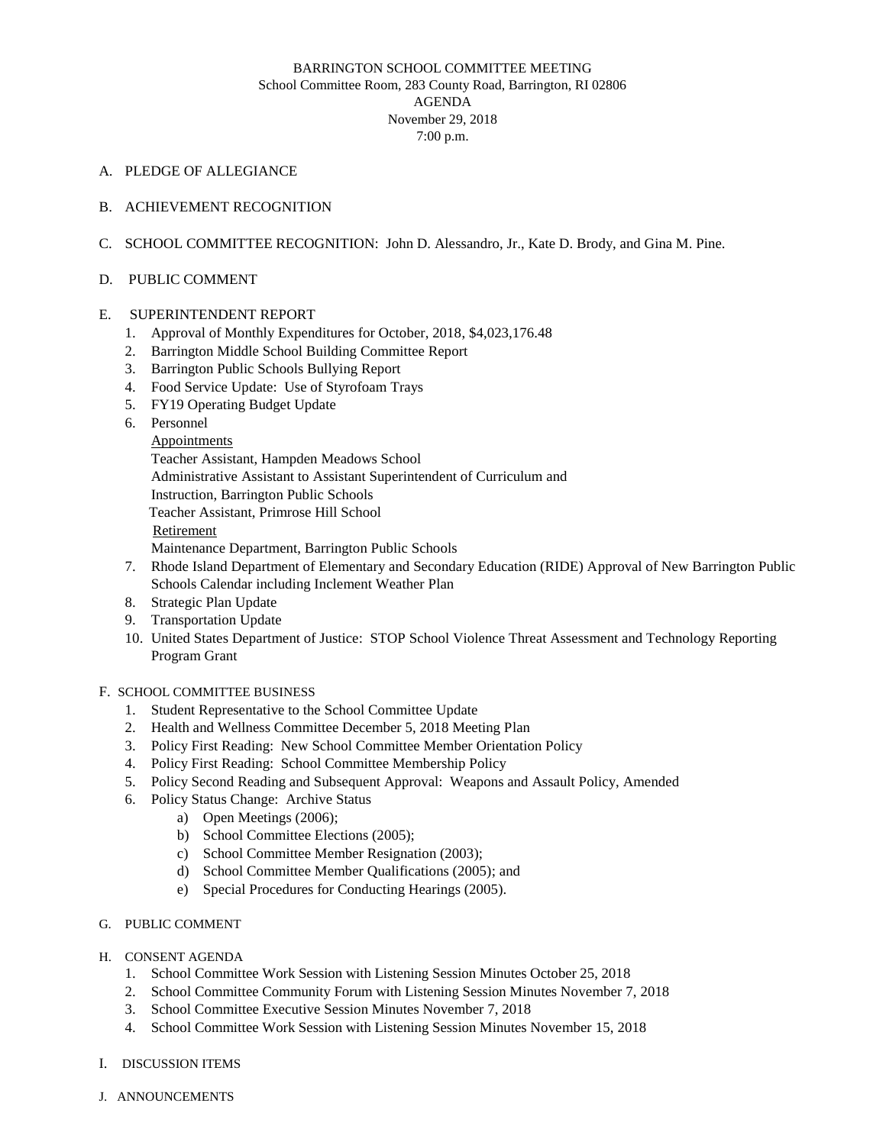# BARRINGTON SCHOOL COMMITTEE MEETING School Committee Room, 283 County Road, Barrington, RI 02806 AGENDA November 29, 2018 7:00 p.m.

### A. PLEDGE OF ALLEGIANCE

- B. ACHIEVEMENT RECOGNITION
- C. SCHOOL COMMITTEE RECOGNITION: John D. Alessandro, Jr., Kate D. Brody, and Gina M. Pine.

#### D. PUBLIC COMMENT

#### E. SUPERINTENDENT REPORT

- 1. Approval of Monthly Expenditures for October, 2018, \$4,023,176.48
- 2. Barrington Middle School Building Committee Report
- 3. Barrington Public Schools Bullying Report
- 4. Food Service Update: Use of Styrofoam Trays
- 5. FY19 Operating Budget Update
- 6. Personnel

Appointments

Teacher Assistant, Hampden Meadows School

Administrative Assistant to Assistant Superintendent of Curriculum and

Instruction, Barrington Public Schools

Teacher Assistant, Primrose Hill School

Retirement

Maintenance Department, Barrington Public Schools

- 7. Rhode Island Department of Elementary and Secondary Education (RIDE) Approval of New Barrington Public Schools Calendar including Inclement Weather Plan
- 8. Strategic Plan Update
- 9. Transportation Update
- 10. United States Department of Justice: STOP School Violence Threat Assessment and Technology Reporting Program Grant

## F. SCHOOL COMMITTEE BUSINESS

- 1. Student Representative to the School Committee Update
- 2. Health and Wellness Committee December 5, 2018 Meeting Plan
- 3. Policy First Reading: New School Committee Member Orientation Policy
- 4. Policy First Reading: School Committee Membership Policy
- 5. Policy Second Reading and Subsequent Approval: Weapons and Assault Policy, Amended
- 6. Policy Status Change: Archive Status
	- a) Open Meetings (2006);
	- b) School Committee Elections (2005);
	- c) School Committee Member Resignation (2003);
	- d) School Committee Member Qualifications (2005); and
	- e) Special Procedures for Conducting Hearings (2005).
- G. PUBLIC COMMENT
- H. CONSENT AGENDA
	- 1. School Committee Work Session with Listening Session Minutes October 25, 2018
	- 2. School Committee Community Forum with Listening Session Minutes November 7, 2018
	- 3. School Committee Executive Session Minutes November 7, 2018
	- 4. School Committee Work Session with Listening Session Minutes November 15, 2018
- I. DISCUSSION ITEMS
- J. ANNOUNCEMENTS